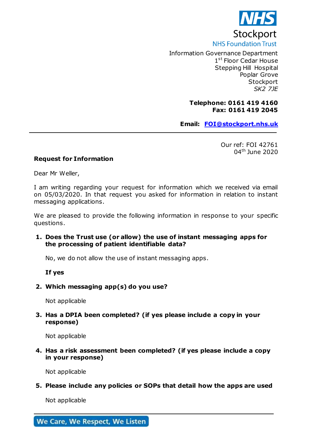

Information Governance Department 1st Floor Cedar House Stepping Hill Hospital Poplar Grove **Stockport** *SK2 7JE* 

## **Telephone: 0161 419 4160 Fax: 0161 419 2045**

**Email: [FOI@stockport.nhs.uk](mailto:xxx@xxxxxxxxx.xxx.xx)**

Our ref: FOI 42761 04th June 2020

## **Request for Information**

Dear Mr Weller,

I am writing regarding your request for information which we received via email on 05/03/2020. In that request you asked for information in relation to instant messaging applications.

L

We are pleased to provide the following information in response to your specific questions.

## **1. Does the Trust use (or allow) the use of instant messaging apps for the processing of patient identifiable data?**

No, we do not allow the use of instant messaging apps.

**If yes**

#### **2. Which messaging app(s) do you use?**

Not applicable

# **3. Has a DPIA been completed? (if yes please include a copy in your response)**

Not applicable

**4. Has a risk assessment been completed? (if yes please include a copy in your response)**

Not applicable

**5. Please include any policies or SOPs that detail how the apps are used**

Not applicable

We Care, We Respect, We Listen